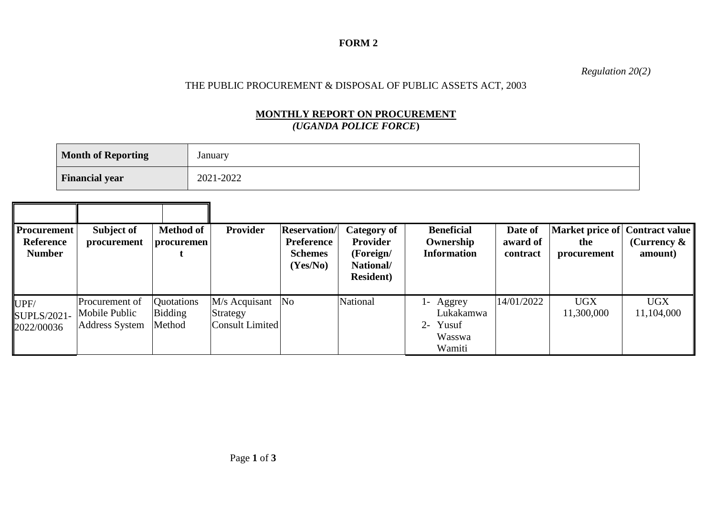### **FORM 2**

*Regulation 20(2)*

## THE PUBLIC PROCUREMENT & DISPOSAL OF PUBLIC ASSETS ACT, 2003

### **MONTHLY REPORT ON PROCUREMENT** *(UGANDA POLICE FORCE***)**

| <b>Month of Reporting</b> | January   |
|---------------------------|-----------|
| <b>Financial year</b>     | 2021-2022 |

| Procurement <sup>1</sup><br><b>Reference</b><br><b>Number</b> | Subject of<br>procurement                                | <b>Method of</b><br>procuremen  | <b>Provider</b>                              | <b>Reservation</b> /<br><b>Preference</b><br><b>Schemes</b><br>(Yes/No) | Category of<br><b>Provider</b><br>(Foreign/<br>National/<br><b>Resident</b> ) | <b>Beneficial</b><br>Ownership<br><b>Information</b>        | Date of<br>award of<br>contract | Market price of Contract value<br>the<br>procurement | (Currency $\&$<br>amount) |
|---------------------------------------------------------------|----------------------------------------------------------|---------------------------------|----------------------------------------------|-------------------------------------------------------------------------|-------------------------------------------------------------------------------|-------------------------------------------------------------|---------------------------------|------------------------------------------------------|---------------------------|
| UPF/<br>SUPLS/2021-<br>2022/00036                             | Procurement of<br>Mobile Public<br><b>Address System</b> | Quotations<br>Bidding<br>Method | M/s Acquisant<br>Strategy<br>Consult Limited | N <sub>o</sub>                                                          | National                                                                      | l- Aggrey<br>Lukakamwa<br>Yusuf<br>$2-$<br>Wasswa<br>Wamiti | 14/01/2022                      | <b>UGX</b><br>11,300,000                             | <b>UGX</b><br>11,104,000  |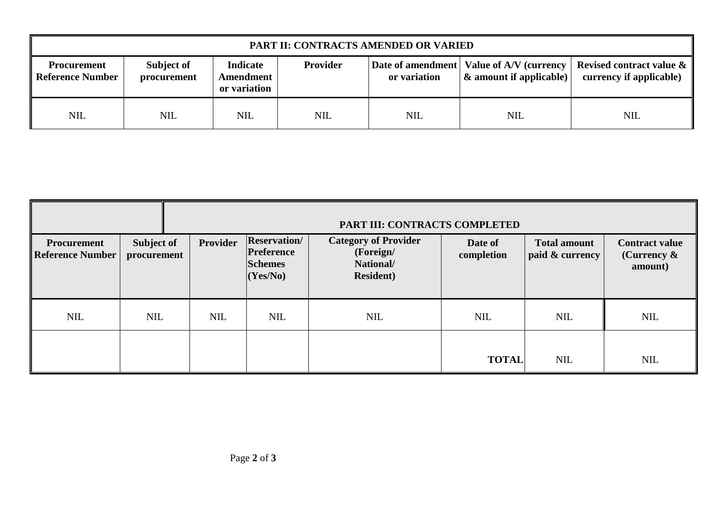| PART II: CONTRACTS AMENDED OR VARIED          |                           |                                              |                 |              |                                     |                                                                                                               |  |  |  |
|-----------------------------------------------|---------------------------|----------------------------------------------|-----------------|--------------|-------------------------------------|---------------------------------------------------------------------------------------------------------------|--|--|--|
| <b>Procurement</b><br><b>Reference Number</b> | Subject of<br>procurement | <b>Indicate</b><br>Amendment<br>or variation | <b>Provider</b> | or variation | $\mathcal{R}$ amount if applicable) | Date of amendment   Value of A/V (currency   Revised contract value $\& \parallel$<br>currency if applicable) |  |  |  |
| <b>NIL</b>                                    | NIL                       | <b>NIL</b>                                   | <b>NIL</b>      | <b>NIL</b>   | <b>NIL</b>                          | <b>NIL</b>                                                                                                    |  |  |  |

|                                        |                           | PART III: CONTRACTS COMPLETED |            |                                                                        |                                                                            |                       |                                        |                                                    |  |
|----------------------------------------|---------------------------|-------------------------------|------------|------------------------------------------------------------------------|----------------------------------------------------------------------------|-----------------------|----------------------------------------|----------------------------------------------------|--|
| <b>Procurement</b><br>Reference Number | Subject of<br>procurement |                               | Provider   | <b>Reservation/</b><br><b>Preference</b><br><b>Schemes</b><br>(Yes/No) | <b>Category of Provider</b><br>(Foreign/<br>National/<br><b>Resident</b> ) | Date of<br>completion | <b>Total amount</b><br>paid & currency | <b>Contract value</b><br>(Currency $\&$<br>amount) |  |
| <b>NIL</b>                             | <b>NIL</b>                |                               | <b>NIL</b> | <b>NIL</b>                                                             | <b>NIL</b>                                                                 | <b>NIL</b>            | <b>NIL</b>                             | NIL                                                |  |
|                                        |                           |                               |            |                                                                        |                                                                            | <b>TOTAL</b>          | <b>NIL</b>                             | <b>NIL</b>                                         |  |